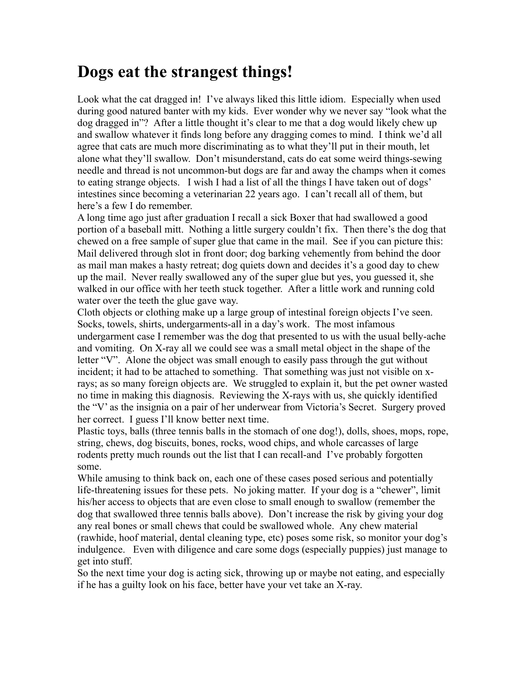## **Dogs eat the strangest things!**

Look what the cat dragged in! I've always liked this little idiom. Especially when used during good natured banter with my kids. Ever wonder why we never say "look what the dog dragged in"? After a little thought it's clear to me that a dog would likely chew up and swallow whatever it finds long before any dragging comes to mind. I think we'd all agree that cats are much more discriminating as to what they'll put in their mouth, let alone what they'll swallow. Don't misunderstand, cats do eat some weird things-sewing needle and thread is not uncommon-but dogs are far and away the champs when it comes to eating strange objects. I wish I had a list of all the things I have taken out of dogs' intestines since becoming a veterinarian 22 years ago. I can't recall all of them, but here's a few I do remember.

A long time ago just after graduation I recall a sick Boxer that had swallowed a good portion of a baseball mitt. Nothing a little surgery couldn't fix. Then there's the dog that chewed on a free sample of super glue that came in the mail. See if you can picture this: Mail delivered through slot in front door; dog barking vehemently from behind the door as mail man makes a hasty retreat; dog quiets down and decides it's a good day to chew up the mail. Never really swallowed any of the super glue but yes, you guessed it, she walked in our office with her teeth stuck together. After a little work and running cold water over the teeth the glue gave way.

Cloth objects or clothing make up a large group of intestinal foreign objects I've seen. Socks, towels, shirts, undergarments-all in a day's work. The most infamous undergarment case I remember was the dog that presented to us with the usual belly-ache and vomiting. On X-ray all we could see was a small metal object in the shape of the letter "V". Alone the object was small enough to easily pass through the gut without incident; it had to be attached to something. That something was just not visible on xrays; as so many foreign objects are. We struggled to explain it, but the pet owner wasted no time in making this diagnosis. Reviewing the X-rays with us, she quickly identified the "V' as the insignia on a pair of her underwear from Victoria's Secret. Surgery proved her correct. I guess I'll know better next time.

Plastic toys, balls (three tennis balls in the stomach of one dog!), dolls, shoes, mops, rope, string, chews, dog biscuits, bones, rocks, wood chips, and whole carcasses of large rodents pretty much rounds out the list that I can recall-and I've probably forgotten some.

While amusing to think back on, each one of these cases posed serious and potentially life-threatening issues for these pets. No joking matter. If your dog is a "chewer", limit his/her access to objects that are even close to small enough to swallow (remember the dog that swallowed three tennis balls above). Don't increase the risk by giving your dog any real bones or small chews that could be swallowed whole. Any chew material (rawhide, hoof material, dental cleaning type, etc) poses some risk, so monitor your dog's indulgence. Even with diligence and care some dogs (especially puppies) just manage to get into stuff.

So the next time your dog is acting sick, throwing up or maybe not eating, and especially if he has a guilty look on his face, better have your vet take an X-ray.